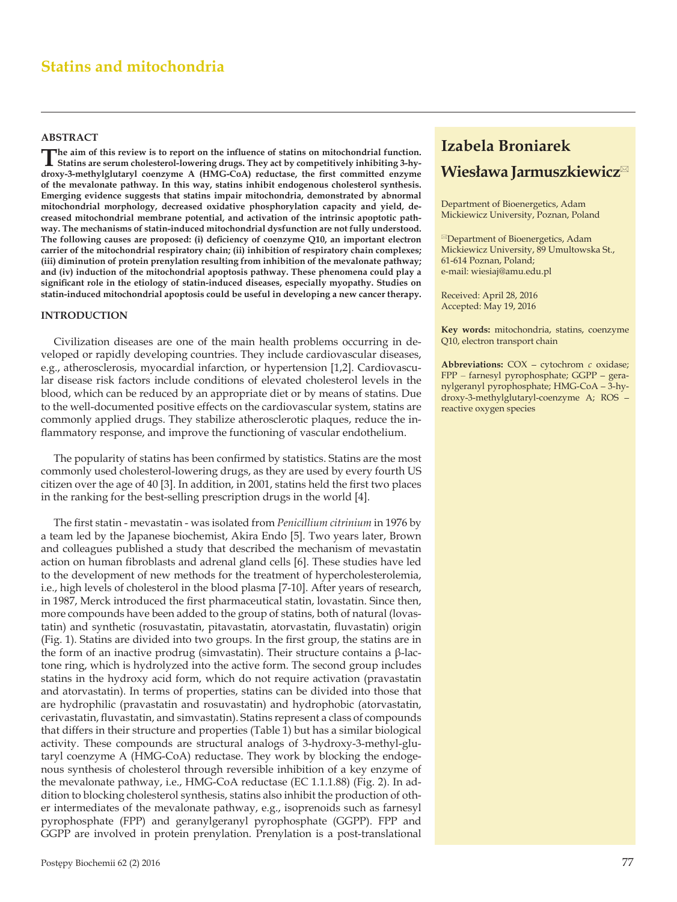## **Statins and mitochondria**

#### **ABSTRACT**

The aim of this review is to report on the influence of statins on mitochondrial function.<br>
Statins are serum cholesterol-lowering drugs. They act by competitively inhibiting 3-hy**droxy-3-methylglutaryl coenzyme A (HMG-CoA) reductase, the first committed enzyme of the mevalonate pathway. In this way, statins inhibit endogenous cholesterol synthesis. Emerging evidence suggests that statins impair mitochondria, demonstrated by abnormal mitochondrial morphology, decreased oxidative phosphorylation capacity and yield, decreased mitochondrial membrane potential, and activation of the intrinsic apoptotic pathway. The mechanisms of statin-induced mitochondrial dysfunction are not fully understood. The following causes are proposed: (i) deficiency of coenzyme Q10, an important electron carrier of the mitochondrial respiratory chain; (ii) inhibition of respiratory chain complexes; (iii) diminution of protein prenylation resulting from inhibition of the mevalonate pathway; and (iv) induction of the mitochondrial apoptosis pathway. These phenomena could play a significant role in the etiology of statin-induced diseases, especially myopathy. Studies on statin-induced mitochondrial apoptosis could be useful in developing a new cancer therapy.** 

#### **INTRODUCTION**

Civilization diseases are one of the main health problems occurring in developed or rapidly developing countries. They include cardiovascular diseases, e.g., atherosclerosis, myocardial infarction, or hypertension [1,2]. Cardiovascular disease risk factors include conditions of elevated cholesterol levels in the blood, which can be reduced by an appropriate diet or by means of statins. Due to the well-documented positive effects on the cardiovascular system, statins are commonly applied drugs. They stabilize atherosclerotic plaques, reduce the inflammatory response, and improve the functioning of vascular endothelium.

The popularity of statins has been confirmed by statistics. Statins are the most commonly used cholesterol-lowering drugs, as they are used by every fourth US citizen over the age of 40 [3]. In addition, in 2001, statins held the first two places in the ranking for the best-selling prescription drugs in the world [4].

The first statin - mevastatin - was isolated from *Penicillium citrinium* in 1976 by a team led by the Japanese biochemist, Akira Endo [5]. Two years later, Brown and colleagues published a study that described the mechanism of mevastatin action on human fibroblasts and adrenal gland cells [6]. These studies have led to the development of new methods for the treatment of hypercholesterolemia, i.e., high levels of cholesterol in the blood plasma [7-10]. After years of research, in 1987, Merck introduced the first pharmaceutical statin, lovastatin. Since then, more compounds have been added to the group of statins, both of natural (lovastatin) and synthetic (rosuvastatin, pitavastatin, atorvastatin, fluvastatin) origin (Fig. 1). Statins are divided into two groups. In the first group, the statins are in the form of an inactive prodrug (simvastatin). Their structure contains a β-lactone ring, which is hydrolyzed into the active form. The second group includes statins in the hydroxy acid form, which do not require activation (pravastatin and atorvastatin). In terms of properties, statins can be divided into those that are hydrophilic (pravastatin and rosuvastatin) and hydrophobic (atorvastatin, cerivastatin, fluvastatin, and simvastatin). Statins represent a class of compounds that differs in their structure and properties (Table 1) but has a similar biological activity. These compounds are structural analogs of 3-hydroxy-3-methyl-glutaryl coenzyme A (HMG-CoA) reductase. They work by blocking the endogenous synthesis of cholesterol through reversible inhibition of a key enzyme of the mevalonate pathway, i.e., HMG-CoA reductase (EC 1.1.1.88) (Fig. 2). In addition to blocking cholesterol synthesis, statins also inhibit the production of other intermediates of the mevalonate pathway, e.g., isoprenoids such as farnesyl pyrophosphate (FPP) and geranylgeranyl pyrophosphate (GGPP). FPP and GGPP are involved in protein prenylation. Prenylation is a post-translational

# **Izabela Broniarek Wiesława Jarmuszkiewicz**

Department of Bioenergetics, Adam Mickiewicz University, Poznan, Poland

<sup>⊠</sup>Department of Bioenergetics, Adam Mickiewicz University, 89 Umultowska St., 61-614 Poznan, Poland; e-mail: wiesiaj@amu.edu.pl

Received: April 28, 2016 Accepted: May 19, 2016

**Key words:** mitochondria, statins, coenzyme Q10, electron transport chain

**Abbreviations:** COX **‒** cytochrom *c* oxidase; FPP ‒ farnesyl pyrophosphate; GGPP **‒** geranylgeranyl pyrophosphate; HMG-CoA **‒** 3-hydroxy-3-methylglutaryl-coenzyme A; ROS **‒** reactive oxygen species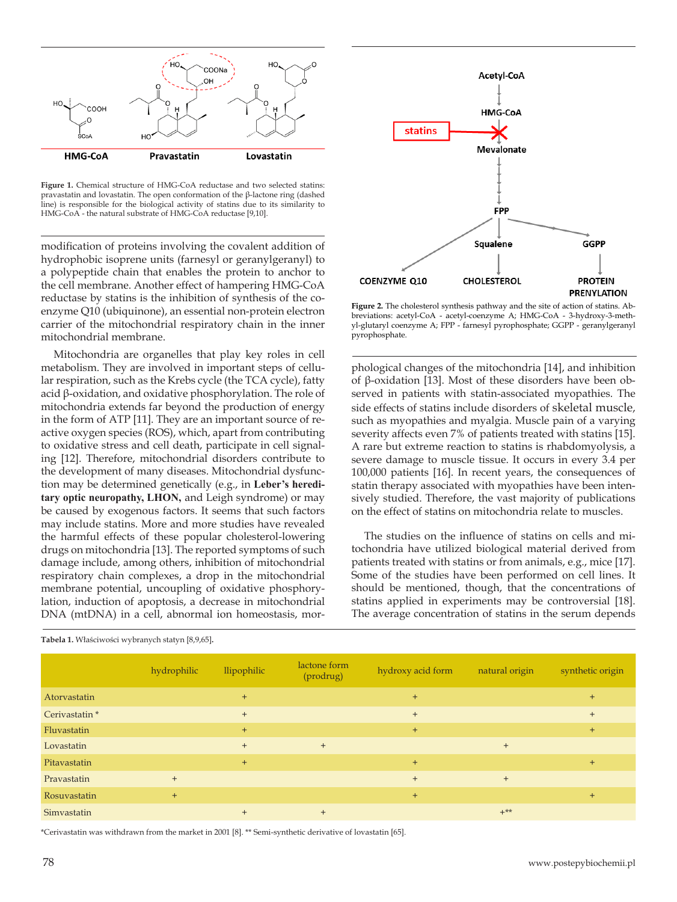

**Figure 1.** Chemical structure of HMG-CoA reductase and two selected statins: pravastatin and lovastatin. The open conformation of the β-lactone ring (dashed line) is responsible for the biological activity of statins due to its similarity to HMG-CoA - the natural substrate of HMG-CoA reductase [9,10].

modification of proteins involving the covalent addition of hydrophobic isoprene units (farnesyl or geranylgeranyl) to a polypeptide chain that enables the protein to anchor to the cell membrane. Another effect of hampering HMG-CoA reductase by statins is the inhibition of synthesis of the coenzyme Q10 (ubiquinone), an essential non-protein electron carrier of the mitochondrial respiratory chain in the inner mitochondrial membrane.

Mitochondria are organelles that play key roles in cell metabolism. They are involved in important steps of cellular respiration, such as the Krebs cycle (the TCA cycle), fatty acid β-oxidation, and oxidative phosphorylation. The role of mitochondria extends far beyond the production of energy in the form of ATP [11]. They are an important source of reactive oxygen species (ROS), which, apart from contributing to oxidative stress and cell death, participate in cell signaling [12]. Therefore, mitochondrial disorders contribute to the development of many diseases. Mitochondrial dysfunction may be determined genetically (e.g., in **Leber's hereditary optic neuropathy, LHON,** and Leigh syndrome) or may be caused by exogenous factors. It seems that such factors may include statins. More and more studies have revealed the harmful effects of these popular cholesterol-lowering drugs on mitochondria [13]. The reported symptoms of such damage include, among others, inhibition of mitochondrial respiratory chain complexes, a drop in the mitochondrial membrane potential, uncoupling of oxidative phosphorylation, induction of apoptosis, a decrease in mitochondrial DNA (mtDNA) in a cell, abnormal ion homeostasis, mor-



**Tabela 1.** Właściwości wybranych statyn [8,9,65]**.**

**Figure 2.** The cholesterol synthesis pathway and the site of action of statins. Abbreviations: acetyl-CoA - acetyl-coenzyme A; HMG-CoA - 3-hydroxy-3-methyl-glutaryl coenzyme A; FPP - farnesyl pyrophosphate; GGPP - geranylgeranyl pyrophosphate.

Acetyl-CoA

HMG-CoA

Mevalonate

FPP

GGPP

**PROTEIN PRENYLATION** 

Squalene

**CHOLESTEROL** 

**statins** 

COENZYME Q10

phological changes of the mitochondria [14], and inhibition of β-oxidation [13]. Most of these disorders have been observed in patients with statin-associated myopathies. The side effects of statins include disorders of skeletal muscle, such as myopathies and myalgia. Muscle pain of a varying severity affects even 7% of patients treated with statins [15]. A rare but extreme reaction to statins is rhabdomyolysis, a severe damage to muscle tissue. It occurs in every 3.4 per 100,000 patients [16]. In recent years, the consequences of statin therapy associated with myopathies have been intensively studied. Therefore, the vast majority of publications on the effect of statins on mitochondria relate to muscles.

The studies on the influence of statins on cells and mitochondria have utilized biological material derived from patients treated with statins or from animals, e.g., mice [17]. Some of the studies have been performed on cell lines. It should be mentioned, though, that the concentrations of statins applied in experiments may be controversial [18]. The average concentration of statins in the serum depends

\*Cerivastatin was withdrawn from the market in 2001 [8]. \*\* Semi-synthetic derivative of lovastatin [65].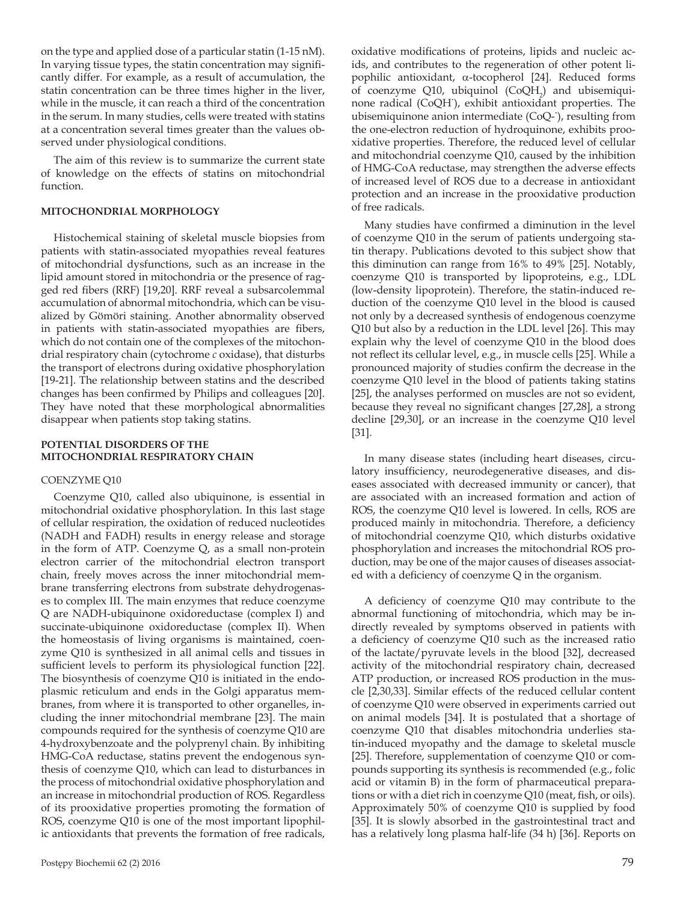on the type and applied dose of a particular statin (1-15 nM). In varying tissue types, the statin concentration may significantly differ. For example, as a result of accumulation, the statin concentration can be three times higher in the liver, while in the muscle, it can reach a third of the concentration in the serum. In many studies, cells were treated with statins at a concentration several times greater than the values observed under physiological conditions.

The aim of this review is to summarize the current state of knowledge on the effects of statins on mitochondrial function.

#### **MITOCHONDRIAL MORPHOLOGY**

Histochemical staining of skeletal muscle biopsies from patients with statin-associated myopathies reveal features of mitochondrial dysfunctions, such as an increase in the lipid amount stored in mitochondria or the presence of ragged red fibers (RRF) [19,20]. RRF reveal a subsarcolemmal accumulation of abnormal mitochondria, which can be visualized by Gömöri staining. Another abnormality observed in patients with statin-associated myopathies are fibers, which do not contain one of the complexes of the mitochondrial respiratory chain (cytochrome *c* oxidase), that disturbs the transport of electrons during oxidative phosphorylation [19-21]. The relationship between statins and the described changes has been confirmed by Philips and colleagues [20]. They have noted that these morphological abnormalities disappear when patients stop taking statins.

#### **POTENTIAL DISORDERS OF THE MITOCHONDRIAL RESPIRATORY CHAIN**

#### COENZYME Q10

Coenzyme Q10, called also ubiquinone, is essential in mitochondrial oxidative phosphorylation. In this last stage of cellular respiration, the oxidation of reduced nucleotides (NADH and FADH) results in energy release and storage in the form of ATP. Coenzyme Q, as a small non-protein electron carrier of the mitochondrial electron transport chain, freely moves across the inner mitochondrial membrane transferring electrons from substrate dehydrogenases to complex III. The main enzymes that reduce coenzyme Q are NADH-ubiquinone oxidoreductase (complex I) and succinate-ubiquinone oxidoreductase (complex II). When the homeostasis of living organisms is maintained, coenzyme Q10 is synthesized in all animal cells and tissues in sufficient levels to perform its physiological function [22]. The biosynthesis of coenzyme Q10 is initiated in the endoplasmic reticulum and ends in the Golgi apparatus membranes, from where it is transported to other organelles, including the inner mitochondrial membrane [23]. The main compounds required for the synthesis of coenzyme Q10 are 4-hydroxybenzoate and the polyprenyl chain. By inhibiting HMG-CoA reductase, statins prevent the endogenous synthesis of coenzyme Q10, which can lead to disturbances in the process of mitochondrial oxidative phosphorylation and an increase in mitochondrial production of ROS. Regardless of its prooxidative properties promoting the formation of ROS, coenzyme Q10 is one of the most important lipophilic antioxidants that prevents the formation of free radicals,

oxidative modifications of proteins, lipids and nucleic acids, and contributes to the regeneration of other potent lipophilic antioxidant, α-tocopherol [24]. Reduced forms of coenzyme Q10, ubiquinol  $(CoQH<sub>2</sub>)$  and ubisemiquinone radical (CoQH˙), exhibit antioxidant properties. The ubisemiquinone anion intermediate (CoQ-˙), resulting from the one-electron reduction of hydroquinone, exhibits prooxidative properties. Therefore, the reduced level of cellular and mitochondrial coenzyme Q10, caused by the inhibition of HMG-CoA reductase, may strengthen the adverse effects of increased level of ROS due to a decrease in antioxidant protection and an increase in the prooxidative production of free radicals.

Many studies have confirmed a diminution in the level of coenzyme Q10 in the serum of patients undergoing statin therapy. Publications devoted to this subject show that this diminution can range from 16% to 49% [25]. Notably, coenzyme Q10 is transported by lipoproteins, e.g., LDL (low-density lipoprotein). Therefore, the statin-induced reduction of the coenzyme Q10 level in the blood is caused not only by a decreased synthesis of endogenous coenzyme Q10 but also by a reduction in the LDL level [26]. This may explain why the level of coenzyme Q10 in the blood does not reflect its cellular level, e.g., in muscle cells [25]. While a pronounced majority of studies confirm the decrease in the coenzyme Q10 level in the blood of patients taking statins [25], the analyses performed on muscles are not so evident, because they reveal no significant changes [27,28], a strong decline [29,30], or an increase in the coenzyme Q10 level [31].

In many disease states (including heart diseases, circulatory insufficiency, neurodegenerative diseases, and diseases associated with decreased immunity or cancer), that are associated with an increased formation and action of ROS, the coenzyme Q10 level is lowered. In cells, ROS are produced mainly in mitochondria. Therefore, a deficiency of mitochondrial coenzyme Q10, which disturbs oxidative phosphorylation and increases the mitochondrial ROS production, may be one of the major causes of diseases associated with a deficiency of coenzyme Q in the organism.

A deficiency of coenzyme Q10 may contribute to the abnormal functioning of mitochondria, which may be indirectly revealed by symptoms observed in patients with a deficiency of coenzyme Q10 such as the increased ratio of the lactate/pyruvate levels in the blood [32], decreased activity of the mitochondrial respiratory chain, decreased ATP production, or increased ROS production in the muscle [2,30,33]. Similar effects of the reduced cellular content of coenzyme Q10 were observed in experiments carried out on animal models [34]. It is postulated that a shortage of coenzyme Q10 that disables mitochondria underlies statin-induced myopathy and the damage to skeletal muscle [25]. Therefore, supplementation of coenzyme Q10 or compounds supporting its synthesis is recommended (e.g., folic acid or vitamin B) in the form of pharmaceutical preparations or with a diet rich in coenzyme Q10 (meat, fish, or oils). Approximately 50% of coenzyme Q10 is supplied by food [35]. It is slowly absorbed in the gastrointestinal tract and has a relatively long plasma half-life (34 h) [36]. Reports on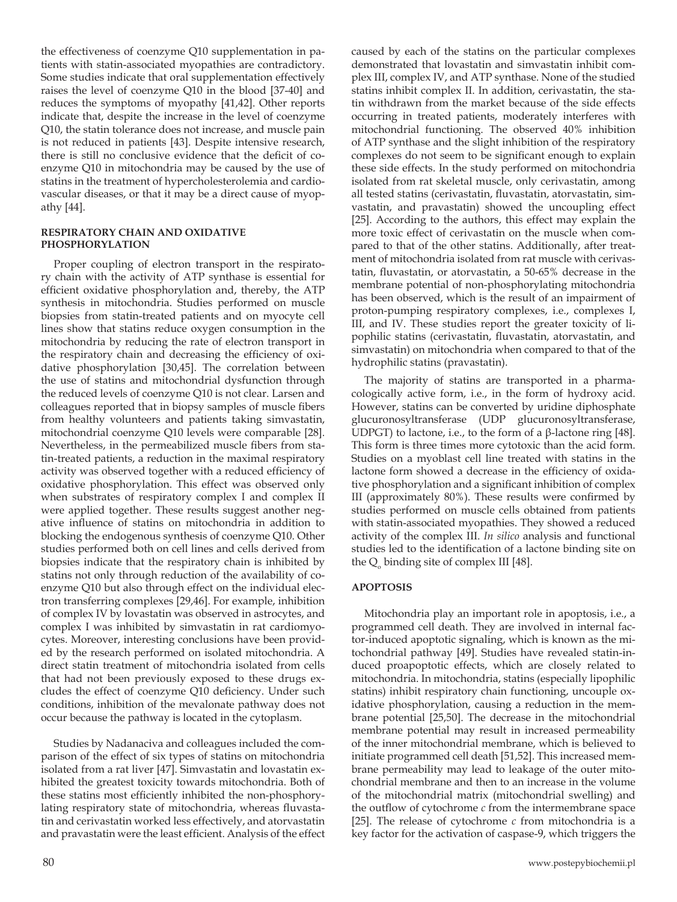the effectiveness of coenzyme Q10 supplementation in patients with statin-associated myopathies are contradictory. Some studies indicate that oral supplementation effectively raises the level of coenzyme Q10 in the blood [37-40] and reduces the symptoms of myopathy [41,42]. Other reports indicate that, despite the increase in the level of coenzyme Q10, the statin tolerance does not increase, and muscle pain is not reduced in patients [43]. Despite intensive research, there is still no conclusive evidence that the deficit of coenzyme Q10 in mitochondria may be caused by the use of statins in the treatment of hypercholesterolemia and cardiovascular diseases, or that it may be a direct cause of myopathy [44].

#### **RESPIRATORY CHAIN AND OXIDATIVE PHOSPHORYLATION**

Proper coupling of electron transport in the respiratory chain with the activity of ATP synthase is essential for efficient oxidative phosphorylation and, thereby, the ATP synthesis in mitochondria. Studies performed on muscle biopsies from statin-treated patients and on myocyte cell lines show that statins reduce oxygen consumption in the mitochondria by reducing the rate of electron transport in the respiratory chain and decreasing the efficiency of oxidative phosphorylation [30,45]. The correlation between the use of statins and mitochondrial dysfunction through the reduced levels of coenzyme Q10 is not clear. Larsen and colleagues reported that in biopsy samples of muscle fibers from healthy volunteers and patients taking simvastatin, mitochondrial coenzyme Q10 levels were comparable [28]. Nevertheless, in the permeabilized muscle fibers from statin-treated patients, a reduction in the maximal respiratory activity was observed together with a reduced efficiency of oxidative phosphorylation. This effect was observed only when substrates of respiratory complex I and complex II were applied together. These results suggest another negative influence of statins on mitochondria in addition to blocking the endogenous synthesis of coenzyme Q10. Other studies performed both on cell lines and cells derived from biopsies indicate that the respiratory chain is inhibited by statins not only through reduction of the availability of coenzyme Q10 but also through effect on the individual electron transferring complexes [29,46]. For example, inhibition of complex IV by lovastatin was observed in astrocytes, and complex I was inhibited by simvastatin in rat cardiomyocytes. Moreover, interesting conclusions have been provided by the research performed on isolated mitochondria. A direct statin treatment of mitochondria isolated from cells that had not been previously exposed to these drugs excludes the effect of coenzyme Q10 deficiency. Under such conditions, inhibition of the mevalonate pathway does not occur because the pathway is located in the cytoplasm.

Studies by Nadanaciva and colleagues included the comparison of the effect of six types of statins on mitochondria isolated from a rat liver [47]. Simvastatin and lovastatin exhibited the greatest toxicity towards mitochondria. Both of these statins most efficiently inhibited the non-phosphorylating respiratory state of mitochondria, whereas fluvastatin and cerivastatin worked less effectively, and atorvastatin and pravastatin were the least efficient. Analysis of the effect

caused by each of the statins on the particular complexes demonstrated that lovastatin and simvastatin inhibit complex III, complex IV, and ATP synthase. None of the studied statins inhibit complex II. In addition, cerivastatin, the statin withdrawn from the market because of the side effects occurring in treated patients, moderately interferes with mitochondrial functioning. The observed 40% inhibition of ATP synthase and the slight inhibition of the respiratory complexes do not seem to be significant enough to explain these side effects. In the study performed on mitochondria isolated from rat skeletal muscle, only cerivastatin, among all tested statins (cerivastatin, fluvastatin, atorvastatin, simvastatin, and pravastatin) showed the uncoupling effect [25]. According to the authors, this effect may explain the more toxic effect of cerivastatin on the muscle when compared to that of the other statins. Additionally, after treatment of mitochondria isolated from rat muscle with cerivastatin, fluvastatin, or atorvastatin, a 50-65% decrease in the membrane potential of non-phosphorylating mitochondria has been observed, which is the result of an impairment of proton-pumping respiratory complexes, i.e., complexes I, III, and IV. These studies report the greater toxicity of lipophilic statins (cerivastatin, fluvastatin, atorvastatin, and simvastatin) on mitochondria when compared to that of the hydrophilic statins (pravastatin).

The majority of statins are transported in a pharmacologically active form, i.e., in the form of hydroxy acid. However, statins can be converted by uridine diphosphate glucuronosyltransferase (UDP glucuronosyltransferase, UDPGT) to lactone, i.e., to the form of a β-lactone ring [48]. This form is three times more cytotoxic than the acid form. Studies on a myoblast cell line treated with statins in the lactone form showed a decrease in the efficiency of oxidative phosphorylation and a significant inhibition of complex III (approximately 80%). These results were confirmed by studies performed on muscle cells obtained from patients with statin-associated myopathies. They showed a reduced activity of the complex III. *In silico* analysis and functional studies led to the identification of a lactone binding site on the  $Q_{\text{o}}$  binding site of complex III [48].

### **APOPTOSIS**

Mitochondria play an important role in apoptosis, i.e., a programmed cell death. They are involved in internal factor-induced apoptotic signaling, which is known as the mitochondrial pathway [49]. Studies have revealed statin-induced proapoptotic effects, which are closely related to mitochondria. In mitochondria, statins (especially lipophilic statins) inhibit respiratory chain functioning, uncouple oxidative phosphorylation, causing a reduction in the membrane potential [25,50]. The decrease in the mitochondrial membrane potential may result in increased permeability of the inner mitochondrial membrane, which is believed to initiate programmed cell death [51,52]. This increased membrane permeability may lead to leakage of the outer mitochondrial membrane and then to an increase in the volume of the mitochondrial matrix (mitochondrial swelling) and the outflow of cytochrome *c* from the intermembrane space [25]. The release of cytochrome *c* from mitochondria is a key factor for the activation of caspase-9, which triggers the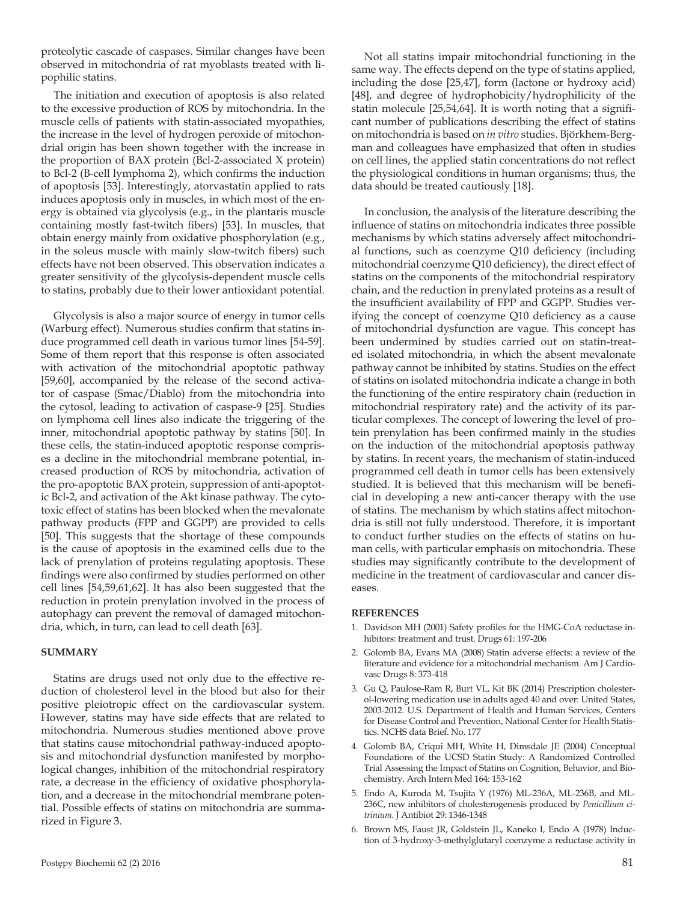proteolytic cascade of caspases. Similar changes have been observed in mitochondria of rat myoblasts treated with lipophilic statins.

The initiation and execution of apoptosis is also related to the excessive production of ROS by mitochondria. In the muscle cells of patients with statin-associated myopathies, the increase in the level of hydrogen peroxide of mitochondrial origin has been shown together with the increase in the proportion of BAX protein (Bcl-2-associated X protein) to Bcl-2 (B-cell lymphoma 2), which confirms the induction of apoptosis [53]. Interestingly, atorvastatin applied to rats induces apoptosis only in muscles, in which most of the energy is obtained via glycolysis (e.g., in the plantaris muscle containing mostly fast-twitch fibers) [53]. In muscles, that obtain energy mainly from oxidative phosphorylation (e.g., in the soleus muscle with mainly slow-twitch fibers) such effects have not been observed. This observation indicates a greater sensitivity of the glycolysis-dependent muscle cells to statins, probably due to their lower antioxidant potential.

Glycolysis is also a major source of energy in tumor cells (Warburg effect). Numerous studies confirm that statins induce programmed cell death in various tumor lines [54-59]. Some of them report that this response is often associated with activation of the mitochondrial apoptotic pathway [59,60], accompanied by the release of the second activator of caspase (Smac/Diablo) from the mitochondria into the cytosol, leading to activation of caspase-9 [25]. Studies on lymphoma cell lines also indicate the triggering of the inner, mitochondrial apoptotic pathway by statins [50]. In these cells, the statin-induced apoptotic response comprises a decline in the mitochondrial membrane potential, increased production of ROS by mitochondria, activation of the pro-apoptotic BAX protein, suppression of anti-apoptotic Bcl-2, and activation of the Akt kinase pathway. The cytotoxic effect of statins has been blocked when the mevalonate pathway products (FPP and GGPP) are provided to cells [50]. This suggests that the shortage of these compounds is the cause of apoptosis in the examined cells due to the lack of prenylation of proteins regulating apoptosis. These findings were also confirmed by studies performed on other cell lines [54,59,61,62]. It has also been suggested that the reduction in protein prenylation involved in the process of autophagy can prevent the removal of damaged mitochondria, which, in turn, can lead to cell death [63].

#### **SUMMARY**

Statins are drugs used not only due to the effective reduction of cholesterol level in the blood but also for their positive pleiotropic effect on the cardiovascular system. However, statins may have side effects that are related to mitochondria. Numerous studies mentioned above prove that statins cause mitochondrial pathway-induced apoptosis and mitochondrial dysfunction manifested by morphological changes, inhibition of the mitochondrial respiratory rate, a decrease in the efficiency of oxidative phosphorylation, and a decrease in the mitochondrial membrane potential. Possible effects of statins on mitochondria are summarized in Figure 3.

Not all statins impair mitochondrial functioning in the same way. The effects depend on the type of statins applied, including the dose [25,47], form (lactone or hydroxy acid) [48], and degree of hydrophobicity/hydrophilicity of the statin molecule [25,54,64]. It is worth noting that a significant number of publications describing the effect of statins on mitochondria is based on *in vitro* studies. Björkhem-Bergman and colleagues have emphasized that often in studies on cell lines, the applied statin concentrations do not reflect the physiological conditions in human organisms; thus, the data should be treated cautiously [18].

In conclusion, the analysis of the literature describing the influence of statins on mitochondria indicates three possible mechanisms by which statins adversely affect mitochondrial functions, such as coenzyme Q10 deficiency (including mitochondrial coenzyme Q10 deficiency), the direct effect of statins on the components of the mitochondrial respiratory chain, and the reduction in prenylated proteins as a result of the insufficient availability of FPP and GGPP. Studies verifying the concept of coenzyme Q10 deficiency as a cause of mitochondrial dysfunction are vague. This concept has been undermined by studies carried out on statin-treated isolated mitochondria, in which the absent mevalonate pathway cannot be inhibited by statins. Studies on the effect of statins on isolated mitochondria indicate a change in both the functioning of the entire respiratory chain (reduction in mitochondrial respiratory rate) and the activity of its particular complexes. The concept of lowering the level of protein prenylation has been confirmed mainly in the studies on the induction of the mitochondrial apoptosis pathway by statins. In recent years, the mechanism of statin-induced programmed cell death in tumor cells has been extensively studied. It is believed that this mechanism will be beneficial in developing a new anti-cancer therapy with the use of statins. The mechanism by which statins affect mitochondria is still not fully understood. Therefore, it is important to conduct further studies on the effects of statins on human cells, with particular emphasis on mitochondria. These studies may significantly contribute to the development of medicine in the treatment of cardiovascular and cancer diseases.

#### **REFERENCES**

- 1. Davidson MH (2001) Safety profiles for the HMG-CoA reductase inhibitors: treatment and trust. Drugs 61: 197-206
- 2. Golomb BA, Evans MA (2008) Statin adverse effects: a review of the literature and evidence for a mitochondrial mechanism. Am J Cardiovasc Drugs 8: 373-418
- 3. Gu Q, Paulose-Ram R, Burt VL, Kit BK (2014) Prescription cholesterol-lowering medication use in adults aged 40 and over: United States, 2003-2012. U.S. Department of Health and Human Services, Centers for Disease Control and Prevention, National Center for Health Statistics. NCHS data Brief. No. 177
- 4. Golomb BA, Criqui MH, White H, Dimsdale JE (2004) Conceptual Foundations of the UCSD Statin Study: A Randomized Controlled Trial Assessing the Impact of Statins on Cognition, Behavior, and Biochemistry. Arch Intern Med 164: 153-162
- 5. Endo A, Kuroda M, Tsujita Y (1976) ML-236A, ML-236B, and ML-236C, new inhibitors of cholesterogenesis produced by *Penicillium citrinium*. J Antibiot 29: 1346-1348
- 6. Brown MS, Faust JR, Goldstein JL, Kaneko I, Endo A (1978) Induction of 3-hydroxy-3-methylglutaryl coenzyme a reductase activity in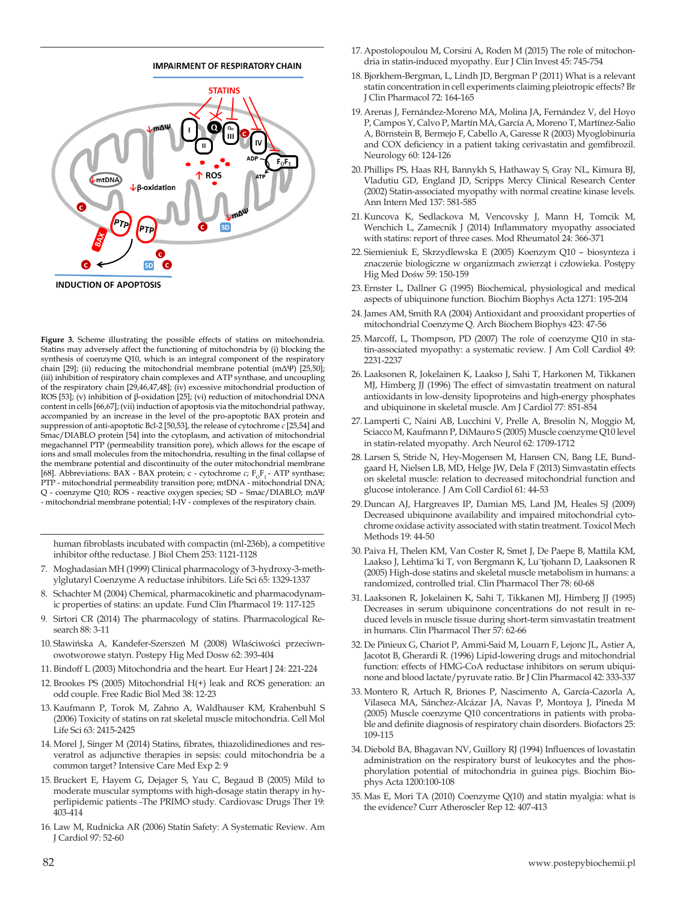

**Figure 3.** Scheme illustrating the possible effects of statins on mitochondria. Statins may adversely affect the functioning of mitochondria by (i) blocking the synthesis of coenzyme Q10, which is an integral component of the respiratory chain [29]; (ii) reducing the mitochondrial membrane potential (mΔΨ) [25,50]; (iii) inhibition of respiratory chain complexes and ATP synthase, and uncoupling of the respiratory chain [29,46,47,48]; (iv) excessive mitochondrial production of ROS [53]; (v) inhibition of β-oxidation [25]; (vi) reduction of mitochondrial DNA content in cells [66,67]; (vii) induction of apoptosis via the mitochondrial pathway, accompanied by an increase in the level of the pro-apoptotic BAX protein and suppression of anti-apoptotic Bcl-2 [50,53], the release of cytochrome *c* [25,54] and Smac/DIABLO protein [54] into the cytoplasm, and activation of mitochondrial megachannel PTP (permeability transition pore), which allows for the escape of ions and small molecules from the mitochondria, resulting in the final collapse of the membrane potential and discontinuity of the outer mitochondrial membrane [68]. Abbreviations: BAX - BAX protein; c - cytochrome  $c$ ;  $F_0F_1$  - ATP synthase; PTP - mitochondrial permeability transition pore; mtDNA - mitochondrial DNA; Q - coenzyme Q10; ROS - reactive oxygen species; SD – Smac/DIABLO; mΔΨ - mitochondrial membrane potential; I-IV - complexes of the respiratory chain.

human fibroblasts incubated with compactin (ml-236b), a competitive inhibitor ofthe reductase. J Biol Chem 253: 1121-1128

- 7. Moghadasian MH (1999) Clinical pharmacology of 3-hydroxy-3-methylglutaryl Coenzyme A reductase inhibitors. Life Sci 65: 1329-1337
- 8. Schachter M (2004) Chemical, pharmacokinetic and pharmacodynamic properties of statins: an update. Fund Clin Pharmacol 19: 117-125
- 9. Sirtori CR (2014) The pharmacology of statins. Pharmacological Research 88: 3-11
- 10. Sławińska A, Kandefer-Szerszeń M (2008) Właściwości przeciwnowotworowe statyn. Postepy Hig Med Dosw 62: 393-404
- 11. Bindoff L (2003) Mitochondria and the heart. Eur Heart J 24: 221-224
- 12. Brookes PS (2005) Mitochondrial H(+) leak and ROS generation: an odd couple. Free Radic Biol Med 38: 12-23
- 13. Kaufmann P, Torok M, Zahno A, Waldhauser KM, Krahenbuhl S (2006) Toxicity of statins on rat skeletal muscle mitochondria. Cell Mol Life Sci 63: 2415-2425
- 14.Morel J, Singer M (2014) Statins, fibrates, thiazolidinediones and resveratrol as adjunctive therapies in sepsis: could mitochondria be a common target? Intensive Care Med Exp 2: 9
- 15. Bruckert E, Hayem G, Dejager S, Yau C, Begaud B (2005) Mild to moderate muscular symptoms with high-dosage statin therapy in hyperlipidemic patients -The PRIMO study. Cardiovasc Drugs Ther 19: 403-414
- 16. Law M, Rudnicka AR (2006) Statin Safety: A Systematic Review. Am J Cardiol 97: 52-60
- 17.Apostolopoulou M, Corsini A, Roden M (2015) The role of mitochondria in statin-induced myopathy. Eur J Clin Invest 45: 745-754
- 18. Bjorkhem-Bergman, L, Lindh JD, Bergman P (2011) What is a relevant statin concentration in cell experiments claiming pleiotropic effects? Br J Clin Pharmacol 72: 164-165
- 19.Arenas J, Fernández-Moreno MA, Molina JA, Fernández V, del Hoyo P, Campos Y, Calvo P, Martín MA, García A, Moreno T, Martínez-Salio A, Börnstein B, Bermejo F, Cabello A, Garesse R (2003) Myoglobinuria and COX deficiency in a patient taking cerivastatin and gemfibrozil. Neurology 60: 124-126
- 20. Phillips PS, Haas RH, Bannykh S, Hathaway S, Gray NL, Kimura BJ, Vladutiu GD, England JD, Scripps Mercy Clinical Research Center (2002) Statin-associated myopathy with normal creatine kinase levels. Ann Intern Med 137: 581-585
- 21. Kuncova K, Sedlackova M, Vencovsky J, Mann H, Tomcik M, Wenchich L, Zamecnik J (2014) Inflammatory myopathy associated with statins: report of three cases. Mod Rheumatol 24: 366-371
- 22. Siemieniuk E, Skrzydlewska E (2005) Koenzym Q10 biosynteza i znaczenie biologiczne w organizmach zwierząt i człowieka. Postępy Hig Med Dośw 59: 150-159
- 23. Ernster L, Dallner G (1995) Biochemical, physiological and medical aspects of ubiquinone function. Biochim Biophys Acta 1271: 195-204
- 24.James AM, Smith RA (2004) Antioxidant and prooxidant properties of mitochondrial Coenzyme Q. Arch Biochem Biophys 423: 47-56
- 25.Marcoff, L, Thompson, PD (2007) The role of coenzyme Q10 in statin-associated myopathy: a systematic review. J Am Coll Cardiol 49: 2231-2237
- 26. Laaksonen R, Jokelainen K, Laakso J, Sahi T, Harkonen M, Tikkanen MJ, Himberg JJ (1996) The effect of simvastatin treatment on natural antioxidants in low-density lipoproteins and high-energy phosphates and ubiquinone in skeletal muscle. Am J Cardiol 77: 851-854
- 27. Lamperti C, Naini AB, Lucchini V, Prelle A, Bresolin N, Moggio M, Sciacco M, Kaufmann P, DiMauro S (2005) Muscle coenzyme Q10 level in statin-related myopathy. Arch Neurol 62: 1709-1712
- 28. Larsen S, Stride N, Hey-Mogensen M, Hansen CN, Bang LE, Bundgaard H, Nielsen LB, MD, Helge JW, Dela F (2013) Simvastatin effects on skeletal muscle: relation to decreased mitochondrial function and glucose intolerance. J Am Coll Cardiol 61: 44-53
- 29. Duncan AJ, Hargreaves IP, Damian MS, Land JM, Heales SJ (2009) Decreased ubiquinone availability and impaired mitochondrial cytochrome oxidase activity associated with statin treatment. Toxicol Mech Methods 19: 44-50
- 30. Paiva H, Thelen KM, Van Coster R, Smet J, De Paepe B, Mattila KM, Laakso J, Lehtima¨ki T, von Bergmann K, Lu¨tjohann D, Laaksonen R (2005) High-dose statins and skeletal muscle metabolism in humans: a randomized, controlled trial. Clin Pharmacol Ther 78: 60-68
- 31. Laaksonen R, Jokelainen K, Sahi T, Tikkanen MJ, Himberg JJ (1995) Decreases in serum ubiquinone concentrations do not result in reduced levels in muscle tissue during short-term simvastatin treatment in humans. Clin Pharmacol Ther 57: 62-66
- 32. De Pinieux G, Chariot P, Ammi-Said M, Louarn F, Lejonc JL, Astier A, Jacotot B, Gherardi R. (1996) Lipid-lowering drugs and mitochondrial function: effects of HMG-CoA reductase inhibitors on serum ubiquinone and blood lactate/pyruvate ratio. Br J Clin Pharmacol 42: 333-337
- 33.Montero R, Artuch R, Briones P, Nascimento A, García-Cazorla A, Vilaseca MA, Sánchez-Alcázar JA, Navas P, Montoya J, Pineda M (2005) Muscle coenzyme Q10 concentrations in patients with probable and definite diagnosis of respiratory chain disorders. Biofactors 25: 109-115
- 34. Diebold BA, Bhagavan NV, Guillory RJ (1994) Influences of lovastatin administration on the respiratory burst of leukocytes and the phosphorylation potential of mitochondria in guinea pigs. Biochim Biophys Acta 1200:100-108
- 35.Mas E, Mori TA (2010) Coenzyme Q(10) and statin myalgia: what is the evidence? Curr Atheroscler Rep 12: 407-413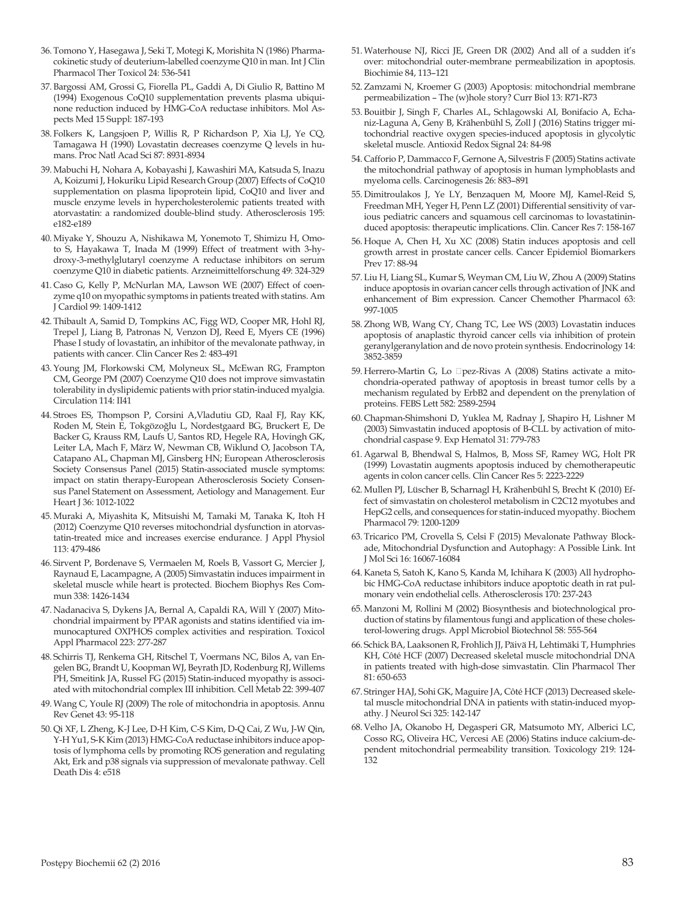- 36. Tomono Y, Hasegawa J, Seki T, Motegi K, Morishita N (1986) Pharmacokinetic study of deuterium-labelled coenzyme Q10 in man. Int J Clin Pharmacol Ther Toxicol 24: 536-541
- 37. Bargossi AM, Grossi G, Fiorella PL, Gaddi A, Di Giulio R, Battino M (1994) Exogenous CoQ10 supplementation prevents plasma ubiquinone reduction induced by HMG-CoA reductase inhibitors. Mol Aspects Med 15 Suppl: 187-193
- 38. Folkers K, Langsjoen P, Willis R, P Richardson P, Xia LJ, Ye CQ, Tamagawa H (1990) Lovastatin decreases coenzyme Q levels in humans. Proc Natl Acad Sci 87: 8931-8934
- 39.Mabuchi H, Nohara A, Kobayashi J, Kawashiri MA, Katsuda S, Inazu A, Koizumi J, Hokuriku Lipid Research Group (2007) Effects of CoQ10 supplementation on plasma lipoprotein lipid, CoQ10 and liver and muscle enzyme levels in hypercholesterolemic patients treated with atorvastatin: a randomized double-blind study. Atherosclerosis 195: e182-e189
- 40.Miyake Y, Shouzu A, Nishikawa M, Yonemoto T, Shimizu H, Omoto S, Hayakawa T, Inada M (1999) Effect of treatment with 3-hydroxy-3-methylglutaryl coenzyme A reductase inhibitors on serum coenzyme Q10 in diabetic patients. Arzneimittelforschung 49: 324-329
- 41. Caso G, Kelly P, McNurlan MA, Lawson WE (2007) Effect of coenzyme q10 on myopathic symptoms in patients treated with statins. Am J Cardiol 99: 1409-1412
- 42. Thibault A, Samid D, Tompkins AC, Figg WD, Cooper MR, Hohl RJ, Trepel J, Liang B, Patronas N, Venzon DJ, Reed E, Myers CE (1996) Phase I study of lovastatin, an inhibitor of the mevalonate pathway, in patients with cancer. Clin Cancer Res 2: 483-491
- 43.Young JM, Florkowski CM, Molyneux SL, McEwan RG, Frampton CM, George PM (2007) Coenzyme Q10 does not improve simvastatin tolerability in dyslipidemic patients with prior statin-induced myalgia. Circulation 114: II41
- 44. Stroes ES, Thompson P, Corsini A,Vladutiu GD, Raal FJ, Ray KK, Roden M, Stein E, Tokgözoğlu L, Nordestgaard BG, Bruckert E, De Backer G, Krauss RM, Laufs U, Santos RD, Hegele RA, Hovingh GK, Leiter LA, Mach F, März W, Newman CB, Wiklund O, Jacobson TA, Catapano AL, Chapman MJ, Ginsberg HN; European Atherosclerosis Society Consensus Panel (2015) Statin-associated muscle symptoms: impact on statin therapy-European Atherosclerosis Society Consensus Panel Statement on Assessment, Aetiology and Management. Eur Heart J 36: 1012-1022
- 45.Muraki A, Miyashita K, Mitsuishi M, Tamaki M, Tanaka K, Itoh H (2012) Coenzyme Q10 reverses mitochondrial dysfunction in atorvastatin-treated mice and increases exercise endurance. J Appl Physiol 113: 479-486
- 46. Sirvent P, Bordenave S, Vermaelen M, Roels B, Vassort G, Mercier J, Raynaud E, Lacampagne, A (2005) Simvastatin induces impairment in skeletal muscle while heart is protected. Biochem Biophys Res Commun 338: 1426-1434
- 47. Nadanaciva S, Dykens JA, Bernal A, Capaldi RA, Will Y (2007) Mitochondrial impairment by PPAR agonists and statins identified via immunocaptured OXPHOS complex activities and respiration. Toxicol Appl Pharmacol 223: 277-287
- 48. Schirris TJ, Renkema GH, Ritschel T, Voermans NC, Bilos A, van Engelen BG, Brandt U, Koopman WJ, Beyrath JD, Rodenburg RJ, Willems PH, Smeitink JA, Russel FG (2015) Statin-induced myopathy is associated with mitochondrial complex III inhibition. Cell Metab 22: 399-407
- 49.Wang C, Youle RJ (2009) The role of mitochondria in apoptosis. Annu Rev Genet 43: 95-118
- 50.Qi XF, L Zheng, K-J Lee, D-H Kim, C-S Kim, D-Q Cai, Z Wu, J-W Qin, Y-H Yu1, S-K Kim (2013) HMG-CoA reductase inhibitors induce apoptosis of lymphoma cells by promoting ROS generation and regulating Akt, Erk and p38 signals via suppression of mevalonate pathway. Cell Death Dis 4: e518
- 51.Waterhouse NJ, Ricci JE, Green DR (2002) And all of a sudden it's over: mitochondrial outer-membrane permeabilization in apoptosis. Biochimie 84, 113–121
- 52.Zamzami N, Kroemer G (2003) Apoptosis: mitochondrial membrane permeabilization – The (w)hole story? Curr Biol 13: R71-R73
- 53. Bouitbir J, Singh F, Charles AL, Schlagowski AI, Bonifacio A, Echaniz-Laguna A, Geny B, Krähenbühl S, Zoll J (2016) Statins trigger mitochondrial reactive oxygen species-induced apoptosis in glycolytic skeletal muscle. Antioxid Redox Signal 24: 84-98
- 54. Cafforio P, Dammacco F, Gernone A, Silvestris F (2005) Statins activate the mitochondrial pathway of apoptosis in human lymphoblasts and myeloma cells. Carcinogenesis 26: 883–891
- 55. Dimitroulakos J, Ye LY, Benzaquen M, Moore MJ, Kamel-Reid S, Freedman MH, Yeger H, Penn LZ (2001) Differential sensitivity of various pediatric cancers and squamous cell carcinomas to lovastatininduced apoptosis: therapeutic implications. Clin. Cancer Res 7: 158-167
- 56. Hoque A, Chen H, Xu XC (2008) Statin induces apoptosis and cell growth arrest in prostate cancer cells. Cancer Epidemiol Biomarkers Prev 17: 88-94
- 57. Liu H, Liang SL, Kumar S, Weyman CM, Liu W, Zhou A (2009) Statins induce apoptosis in ovarian cancer cells through activation of JNK and enhancement of Bim expression. Cancer Chemother Pharmacol 63: 997-1005
- 58.Zhong WB, Wang CY, Chang TC, Lee WS (2003) Lovastatin induces apoptosis of anaplastic thyroid cancer cells via inhibition of protein geranylgeranylation and de novo protein synthesis. Endocrinology 14: 3852-3859
- 59. Herrero-Martin G, Lo Dpez-Rivas A (2008) Statins activate a mitochondria-operated pathway of apoptosis in breast tumor cells by a mechanism regulated by ErbB2 and dependent on the prenylation of proteins. FEBS Lett 582: 2589-2594
- 60. Chapman-Shimshoni D, Yuklea M, Radnay J, Shapiro H, Lishner M (2003) Simvastatin induced apoptosis of B-CLL by activation of mitochondrial caspase 9. Exp Hematol 31: 779-783
- 61.Agarwal B, Bhendwal S, Halmos, B, Moss SF, Ramey WG, Holt PR (1999) Lovastatin augments apoptosis induced by chemotherapeutic agents in colon cancer cells. Clin Cancer Res 5: 2223-2229
- 62.Mullen PJ, Lüscher B, Scharnagl H, Krähenbühl S, Brecht K (2010) Effect of simvastatin on cholesterol metabolism in C2C12 myotubes and HepG2 cells, and consequences for statin-induced myopathy. Biochem Pharmacol 79: 1200-1209
- 63. Tricarico PM, Crovella S, Celsi F (2015) Mevalonate Pathway Blockade, Mitochondrial Dysfunction and Autophagy: A Possible Link. Int J Mol Sci 16: 16067-16084
- 64. Kaneta S, Satoh K, Kano S, Kanda M, Ichihara K (2003) All hydrophobic HMG-CoA reductase inhibitors induce apoptotic death in rat pulmonary vein endothelial cells. Atherosclerosis 170: 237-243
- 65.Manzoni M, Rollini M (2002) Biosynthesis and biotechnological production of statins by filamentous fungi and application of these cholesterol-lowering drugs. Appl Microbiol Biotechnol 58: 555-564
- 66. Schick BA, Laaksonen R, Frohlich JJ, Päivä H, Lehtimäki T, Humphries KH, Côté HCF (2007) Decreased skeletal muscle mitochondrial DNA in patients treated with high-dose simvastatin. Clin Pharmacol Ther 81: 650-653
- 67. Stringer HAJ, Sohi GK, Maguire JA, Côté HCF (2013) Decreased skeletal muscle mitochondrial DNA in patients with statin-induced myopathy. J Neurol Sci 325: 142-147
- 68. Velho JA, Okanobo H, Degasperi GR, Matsumoto MY, Alberici LC, Cosso RG, Oliveira HC, Vercesi AE (2006) Statins induce calcium-dependent mitochondrial permeability transition. Toxicology 219: 124- 132